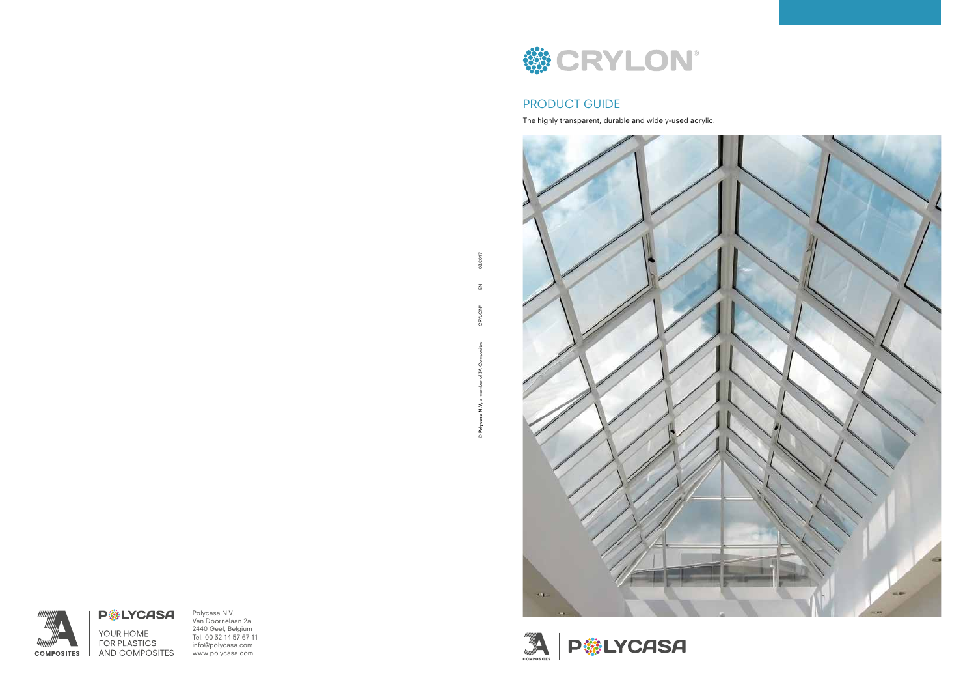Polycasa N.V. Van Doornelaan 2a 2440 Geel, Belgium Tel. 00 32 14 57 67 11 info@polycasa.com www.polycasa.com



### PRODUCT GUIDE

The highly transparent, durable and widely-used acrylic.



**P HILYCASA** 

03/2017 © Polycasa N.V., a member of 3A Composites CRYLON® EN 03/2017  $\mathop{\underline{\mathsf{Z}}}\nolimits$ **CRYLON®** © Polycasa N.V.,



**P**SLYCASA YOUR HOME **FOR PLASTICS** AND COMPOSITES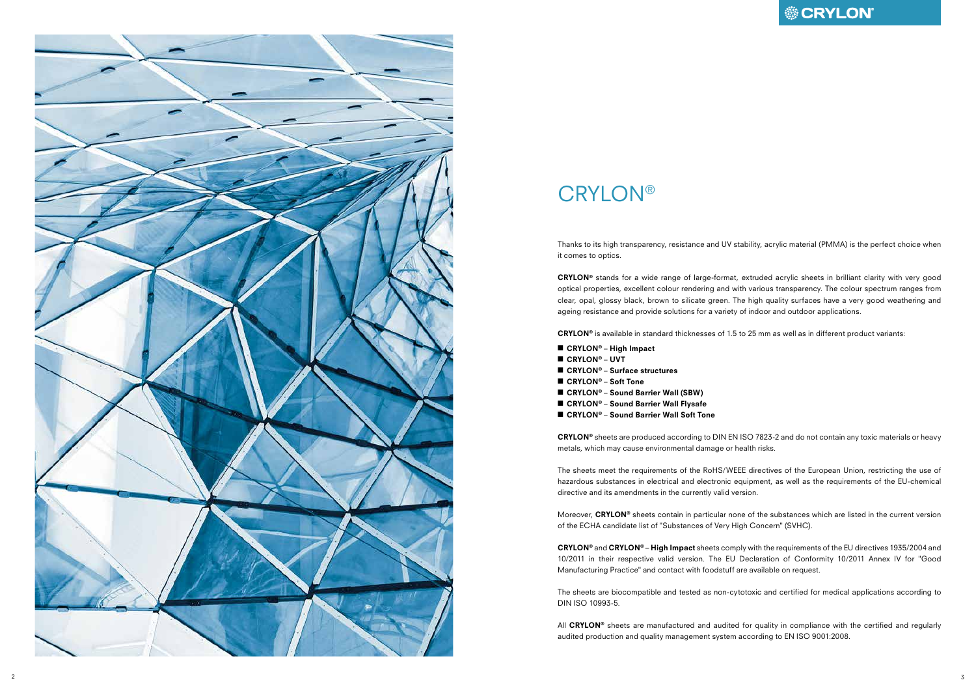

## **CRYLON®**

Thanks to its high transparency, resistance and UV stability, acrylic material (PMMA) is the perfect choice when it comes to optics.

CRYLON ® stands for a wide range of large-format, extruded acrylic sheets in brilliant clarity with very good optical properties, excellent colour rendering and with various transparency. The colour spectrum ranges from clear, opal, glossy black, brown to silicate green. The high quality surfaces have a very good weathering and ageing resistance and provide solutions for a variety of indoor and outdoor applications.

 $CRYLON<sup>®</sup>$  is available in standard thicknesses of 1.5 to 25 mm as well as in different product variants:

- CRYLON® High Impact
- CRYLON ® UVT
- CRYLON® Surface structures
- CRYLON® Soft Tone
- CRYLON® Sound Barrier Wall (SBW)
- CRYLON® Sound Barrier Wall Flysafe
- CRYLON® Sound Barrier Wall Soft Tone

Moreover, CRYLON® sheets contain in particular none of the substances which are listed in the current version of the ECHA candidate list of "Substances of Very High Concern" (SVHC).

 $CRYLON<sup>®</sup>$  and  $CRYLON<sup>®</sup> – High Impact sheets comply with the requirements of the EU directories 1935/2004 and$ 10/2011 in their respective valid version. The EU Declaration of Conformity 10/2011 Annex IV for "Good Manufacturing Practice" and contact with foodstuff are available on request.

CRYLON ® sheets are produced according to DIN EN ISO 7823-2 and do not contain any toxic materials or heavy metals, which may cause environmental damage or health risks.

All CRYLON® sheets are manufactured and audited for quality in compliance with the certified and regularly audited production and quality management system according to EN ISO 9001:2008.

The sheets meet the requirements of the RoHS/WEEE directives of the European Union, restricting the use of hazardous substances in electrical and electronic equipment, as well as the requirements of the EU-chemical directive and its amendments in the currently valid version.

The sheets are biocompatible and tested as non-cytotoxic and certified for medical applications according to DIN ISO 10993-5.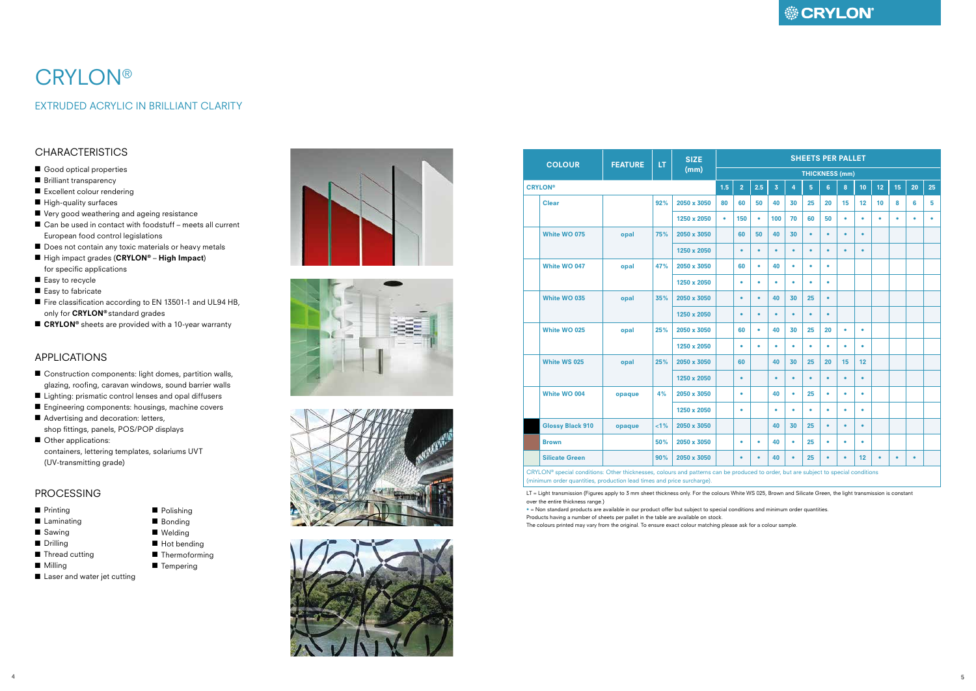## **● CRYLON**

- Construction components: light domes, partition walls, glazing, roofing, caravan windows, sound barrier walls
- Lighting: prismatic control lenses and opal diffusers
- Engineering components: housings, machine covers
- Advertising and decoration: letters, shop fittings, panels, POS/POP displays
- Other applications: containers, lettering templates, solariums UVT (UV-transmitting grade)

### APPLICATIONS

#### PROCESSING

- Printing
- Laminating
- Sawing
- Drilling
- Thread cutting
- Milling
- Laser and water jet cutting









# **CRYLON®**

### EXTRUDED ACRYLIC IN BRILLIANT CLARITY

### **CHARACTERISTICS**

- Good optical properties
- Brilliant transparency
- Excellent colour rendering
- High-quality surfaces
- Very good weathering and ageing resistance
- Can be used in contact with foodstuff meets all current European food control legislations
- Does not contain any toxic materials or heavy metals
- High impact grades (CRYLON® High Impact) for specific applications
- Easy to recycle
- Easy to fabricate
- Fire classification according to EN 13501-1 and UL94 HB, only for CRYLON® standard grades
- CRYLON<sup>®</sup> sheets are provided with a 10-year warranty

| <b>COLOUR</b>                                                                                                                       | <b>FEATURE</b> | LT.     | <b>SIZE</b><br>(mm) | <b>SHEETS PER PALLET</b> |                |           |                         |           |                       |                |           |           |                 |           |           |           |
|-------------------------------------------------------------------------------------------------------------------------------------|----------------|---------|---------------------|--------------------------|----------------|-----------|-------------------------|-----------|-----------------------|----------------|-----------|-----------|-----------------|-----------|-----------|-----------|
|                                                                                                                                     |                |         |                     |                          |                |           |                         |           | <b>THICKNESS (mm)</b> |                |           |           |                 |           |           |           |
| <b>CRYLON®</b>                                                                                                                      |                |         |                     | 1.5                      | $\overline{2}$ | 2.5       | $\overline{\mathbf{3}}$ | 4         | 5                     | $6\phantom{1}$ | 8         | 10        | 12 <sub>2</sub> | 15        | 20        | 25        |
| <b>Clear</b>                                                                                                                        |                | 92%     | 2050 x 3050         | 80                       | 60             | 50        | 40                      | 30        | 25                    | 20             | 15        | 12        | 10              | 8         | 6         | 5         |
|                                                                                                                                     |                |         | 1250 x 2050         | $\bullet$                | 150            | $\bullet$ | 100                     | 70        | 60                    | 50             | ٠         | $\bullet$ | ٠               | ٠         | $\bullet$ | $\bullet$ |
| White WO 075                                                                                                                        | opal           | 75%     | 2050 x 3050         |                          | 60             | 50        | 40                      | 30        | $\bullet$             | $\bullet$      | $\bullet$ | $\bullet$ |                 |           |           |           |
|                                                                                                                                     |                |         | 1250 x 2050         |                          | $\bullet$      | $\bullet$ | $\bullet$               | $\bullet$ | $\bullet$             | $\bullet$      | ٠         | $\bullet$ |                 |           |           |           |
| White WO 047                                                                                                                        | opal           | 47%     | 2050 x 3050         |                          | 60             | $\bullet$ | 40                      | $\bullet$ | $\bullet$             | $\bullet$      |           |           |                 |           |           |           |
|                                                                                                                                     |                |         | 1250 x 2050         |                          | $\bullet$      | $\bullet$ | $\bullet$               | $\bullet$ | $\bullet$             | $\bullet$      |           |           |                 |           |           |           |
| White WO 035                                                                                                                        | opal           | 35%     | 2050 x 3050         |                          | $\bullet$      | $\bullet$ | 40                      | 30        | 25                    | $\bullet$      |           |           |                 |           |           |           |
|                                                                                                                                     |                |         | 1250 x 2050         |                          | $\bullet$      | $\bullet$ | $\bullet$               | $\bullet$ | $\bullet$             | $\bullet$      |           |           |                 |           |           |           |
| White WO 025                                                                                                                        | opal           | 25%     | 2050 x 3050         |                          | 60             | $\bullet$ | 40                      | 30        | 25                    | 20             | $\bullet$ | $\bullet$ |                 |           |           |           |
|                                                                                                                                     |                |         | 1250 x 2050         |                          | $\bullet$      | $\bullet$ | $\bullet$               | $\bullet$ | $\bullet$             | $\bullet$      | ٠         | $\bullet$ |                 |           |           |           |
| <b>White WS 025</b>                                                                                                                 | opal           | 25%     | 2050 x 3050         |                          | 60             |           | 40                      | 30        | 25                    | 20             | 15        | 12        |                 |           |           |           |
|                                                                                                                                     |                |         | 1250 x 2050         |                          | $\bullet$      |           | $\bullet$               | $\bullet$ | $\bullet$             | $\bullet$      | ٠         | $\bullet$ |                 |           |           |           |
| White WO 004                                                                                                                        | opaque         | 4%      | 2050 x 3050         |                          | ۰              |           | 40                      | $\bullet$ | 25                    | $\bullet$      | $\bullet$ | ۰         |                 |           |           |           |
|                                                                                                                                     |                |         | 1250 x 2050         |                          | $\bullet$      |           | $\bullet$               | $\bullet$ | $\bullet$             | $\bullet$      | $\bullet$ | ٠         |                 |           |           |           |
| <b>Glossy Black 910</b>                                                                                                             | opaque         | $< 1\%$ | 2050 x 3050         |                          |                |           | 40                      | 30        | 25                    | $\bullet$      | ٠         | $\bullet$ |                 |           |           |           |
| <b>Brown</b>                                                                                                                        |                | 50%     | 2050 x 3050         |                          | ٠              | ۰         | 40                      | $\bullet$ | 25                    | $\bullet$      | ٠         | ٠         |                 |           |           |           |
| <b>Silicate Green</b>                                                                                                               |                | 90%     | 2050 x 3050         |                          | $\bullet$      | $\bullet$ | 40                      | $\bullet$ | 25                    | $\bullet$      | $\bullet$ | 12        | $\bullet$       | $\bullet$ | $\bullet$ |           |
| CRYLON® special conditions: Other thicknesses, colours and patterns can be produced to order, but are subject to special conditions |                |         |                     |                          |                |           |                         |           |                       |                |           |           |                 |           |           |           |

(minimum order quantities, production lead times and price surcharge).

LT = Light transmission (Figures apply to 3 mm sheet thickness only. For the colours White WS 025, Brown and Silicate Green, the light transmission is constant over the entire thickness range.)

• = Non standard products are available in our product offer but subject to special conditions and minimum order quantities. Products having a number of sheets per pallet in the table are available on stock. The colours printed may vary from the original. To ensure exact colour matching please ask for a colour sample.

■ Polishing ■ Bonding

- Welding
- Hot bending
- Thermoforming
- Tempering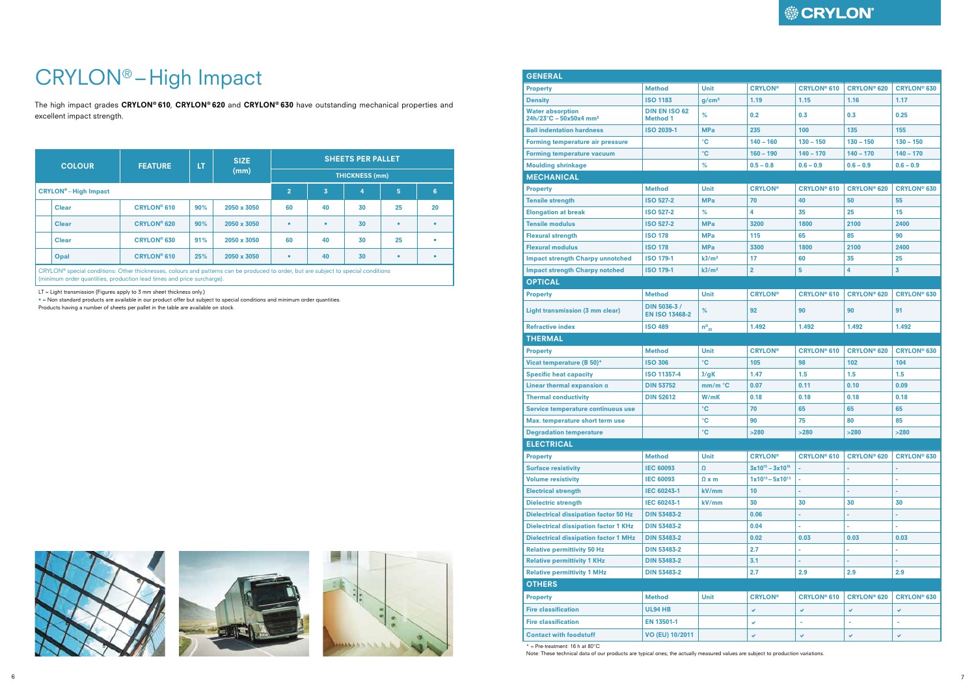# CRYLON® – High Impact

The high impact grades CRYLON® 610, CRYLON® 620 and CRYLON® 630 have outstanding mechanical properties and excellent impact strength.

| <b>COLOUR</b>                         | <b>FEATURE</b>     | <b>LT</b>      | <b>SIZE</b>                   | <b>SHEETS PER PALLET</b> |           |    |           |           |  |  |  |
|---------------------------------------|--------------------|----------------|-------------------------------|--------------------------|-----------|----|-----------|-----------|--|--|--|
|                                       |                    |                | (mm)<br><b>THICKNESS (mm)</b> |                          |           |    |           |           |  |  |  |
| <b>CRYLON<sup>®</sup>-High Impact</b> |                    | $\overline{2}$ | 3                             | $\overline{4}$           | 5         | 6  |           |           |  |  |  |
| <b>Clear</b>                          | <b>CRYLON® 610</b> | 90%            | 2050 x 3050                   | 60                       | 40        | 30 | 25        | 20        |  |  |  |
| <b>Clear</b>                          | <b>CRYLON® 620</b> | 90%            | 2050 x 3050                   | $\bullet$                | $\bullet$ | 30 | $\bullet$ | $\bullet$ |  |  |  |
| <b>Clear</b>                          | <b>CRYLON® 630</b> | 91%            | 2050 x 3050                   | 60                       | 40        | 30 | 25        | ٠         |  |  |  |
| Opal                                  | <b>CRYLON® 610</b> | 25%            | 2050 x 3050                   | $\bullet$                | 40        | 30 | $\bullet$ | ٠         |  |  |  |

CRYLON® special conditions: Other thicknesses, colours and patterns can be produced to order, but are subject to special conditions (minimum order quantities, production lead times and price surcharge).

LT = Light transmission (Figures apply to 3 mm sheet thickness only.)

• = Non standard products are available in our product offer but subject to special conditions and minimum order quantities.

Products having a number of sheets per pallet in the table are available on stock.







| <b>GENERAL</b>                                                         |                                         |                   |                         |                    |                               |                    |
|------------------------------------------------------------------------|-----------------------------------------|-------------------|-------------------------|--------------------|-------------------------------|--------------------|
| <b>Property</b>                                                        | <b>Method</b>                           | <b>Unit</b>       | <b>CRYLON®</b>          | <b>CRYLON® 610</b> | <b>CRYLON® 620</b>            | <b>CRYLON® 630</b> |
| <b>Density</b>                                                         | <b>ISO 1183</b>                         | g/cm <sup>3</sup> | 1.19                    | 1.15               | 1.16                          | 1.17               |
| <b>Water absorption</b><br>$24h/23^{\circ}C - 50x50x4$ mm <sup>3</sup> | <b>DIN EN ISO 62</b><br><b>Method 1</b> | %                 | 0.2                     | 0.3                | 0.3                           | 0.25               |
| <b>Ball indentation hardness</b>                                       | <b>ISO 2039-1</b>                       | <b>MPa</b>        | 235                     | 100                | 135                           | 155                |
| <b>Forming temperature air pressure</b>                                |                                         | $\rm ^{\circ}C$   | $140 - 160$             | $130 - 150$        | $130 - 150$                   | $130 - 150$        |
| <b>Forming temperature vacuum</b>                                      |                                         | °C                | $160 - 190$             | $140 - 170$        | $140 - 170$                   | $140 - 170$        |
| <b>Moulding shrinkage</b>                                              |                                         | %                 | $0.5 - 0.8$             | $0.6 - 0.9$        | $0.6 - 0.9$                   | $0.6 - 0.9$        |
| <b>MECHANICAL</b>                                                      |                                         |                   |                         |                    |                               |                    |
| <b>Property</b>                                                        | <b>Method</b>                           | <b>Unit</b>       | <b>CRYLON®</b>          | <b>CRYLON® 610</b> | <b>CRYLON® 620</b>            | <b>CRYLON® 630</b> |
| <b>Tensile strength</b>                                                | <b>ISO 527-2</b>                        | <b>MPa</b>        | 70                      | 40                 | 50                            | 55                 |
| <b>Elongation at break</b>                                             | <b>ISO 527-2</b>                        | %                 | 4                       | 35                 | 25                            | 15                 |
| <b>Tensile modulus</b>                                                 | <b>ISO 527-2</b>                        | <b>MPa</b>        | 3200                    | 1800               | 2100                          | 2400               |
| <b>Flexural strength</b>                                               | <b>ISO 178</b>                          | <b>MPa</b>        | 115                     | 65                 | 85                            | 90                 |
| <b>Flexural modulus</b>                                                | <b>ISO 178</b>                          | <b>MPa</b>        | 3300                    | 1800               | 2100                          | 2400               |
| <b>Impact strength Charpy unnotched</b>                                | <b>ISO 179-1</b>                        | kJ/m <sup>2</sup> | 17                      | 60                 | 35                            | 25                 |
| <b>Impact strength Charpy notched</b>                                  | <b>ISO 179-1</b>                        | kJ/m <sup>2</sup> | $\overline{2}$          | 5                  | 4                             | 3                  |
| <b>OPTICAL</b>                                                         |                                         |                   |                         |                    |                               |                    |
| <b>Property</b>                                                        | <b>Method</b>                           | <b>Unit</b>       | <b>CRYLON®</b>          | <b>CRYLON® 610</b> | <b>CRYLON® 620</b>            | <b>CRYLON® 630</b> |
| Light transmission (3 mm clear)                                        | DIN 5036-3 /<br><b>EN ISO 13468-2</b>   | %                 | 92                      | 90                 | 90                            | 91                 |
| <b>Refractive index</b>                                                | <b>ISO 489</b>                          | $n_{20}^D$        | 1.492                   | 1.492              | 1.492                         | 1.492              |
| <b>THERMAL</b>                                                         |                                         |                   |                         |                    |                               |                    |
| <b>Property</b>                                                        | <b>Method</b>                           | <b>Unit</b>       | <b>CRYLON®</b>          | <b>CRYLON® 610</b> | <b>CRYLON<sup>®</sup> 620</b> | <b>CRYLON® 630</b> |
| Vicat temperature (B 50)*                                              | <b>ISO 306</b>                          | $^{\circ}$ C      | 105                     | 98                 | 102                           | 104                |
| <b>Specific heat capacity</b>                                          | <b>ISO 11357-4</b>                      | J/gK              | 1.47                    | 1.5                | 1.5                           | 1.5                |
| Linear thermal expansion $\alpha$                                      | <b>DIN 53752</b>                        | mm/m °C           | 0.07                    | 0.11               | 0.10                          | 0.09               |
| <b>Thermal conductivity</b>                                            | <b>DIN 52612</b>                        | W/mK              | 0.18                    | 0.18               | 0.18                          | 0.18               |
| Service temperature continuous use                                     |                                         | $\rm ^{\circ}C$   | 70                      | 65                 | 65                            | 65                 |
| Max. temperature short term use                                        |                                         | $\mathbf{C}$      | 90                      | 75                 | 80                            | 85                 |
| <b>Degradation temperature</b>                                         |                                         | $\rm ^{\circ}C$   | $>280$                  | $>280$             | $>280$                        | $>280$             |
| <b>ELECTRICAL</b>                                                      |                                         |                   |                         |                    |                               |                    |
| <b>Property</b>                                                        | <b>Method</b>                           | <b>Unit</b>       | <b>CRYLON®</b>          | <b>CRYLON® 610</b> | <b>CRYLON® 620</b>            | <b>CRYLON® 630</b> |
| <b>Surface resistivity</b>                                             | <b>IEC 60093</b>                        | $\Omega$          | $3x10^{15} - 3x10^{16}$ |                    | ÷                             |                    |
| <b>Volume resistivity</b>                                              | <b>IEC 60093</b>                        | $\Omega$ x m      | $1x10^{13} - 5x10^{13}$ |                    | $\bar{\phantom{a}}$           |                    |
| <b>Electrical strength</b>                                             | IEC 60243-1                             | kV/mm             | 10                      | ٠                  | ٠                             |                    |
| <b>Dielectric strength</b>                                             | IEC 60243-1                             | kV/mm             | 30                      | 30                 | 30                            | 30                 |
| <b>Dielectrical dissipation factor 50 Hz</b>                           | <b>DIN 53483-2</b>                      |                   | 0.06                    |                    |                               |                    |
| <b>Dielectrical dissipation factor 1 KHz</b>                           | <b>DIN 53483-2</b>                      |                   | 0.04                    | L,                 | ä,                            |                    |
| <b>Dielectrical dissipation factor 1 MHz</b>                           | <b>DIN 53483-2</b>                      |                   | 0.02                    | 0.03               | 0.03                          | 0.03               |
| <b>Relative permittivity 50 Hz</b>                                     | <b>DIN 53483-2</b>                      |                   | 2.7                     |                    | L                             |                    |
| <b>Relative permittivity 1 KHz</b>                                     | <b>DIN 53483-2</b>                      |                   | 3.1                     |                    | ä,                            |                    |
| <b>Relative permittivity 1 MHz</b>                                     | <b>DIN 53483-2</b>                      |                   | 2.7                     | 2.9                | 2.9                           | 2.9                |
| <b>OTHERS</b>                                                          |                                         |                   |                         |                    |                               |                    |
| <b>Property</b>                                                        | <b>Method</b>                           | <b>Unit</b>       | <b>CRYLON®</b>          | <b>CRYLON® 610</b> | <b>CRYLON® 620</b>            | <b>CRYLON® 630</b> |
| <b>Fire classification</b>                                             | <b>UL94 HB</b>                          |                   | v                       | V                  | V                             | v                  |
| <b>Fire classification</b>                                             | EN 13501-1                              |                   | v                       |                    | ä,                            |                    |
| <b>Contact with foodstuff</b>                                          | VO (EU) 10/2011                         |                   | v                       | v                  | ✔                             | V                  |
| $*$ = Pre-treatment: 16 h at 80 $^{\circ}$ C                           |                                         |                   |                         |                    |                               |                    |

Note: These technical data of our products are typical ones; the actually measured values are subject to production variations.

## **● CRYLON®**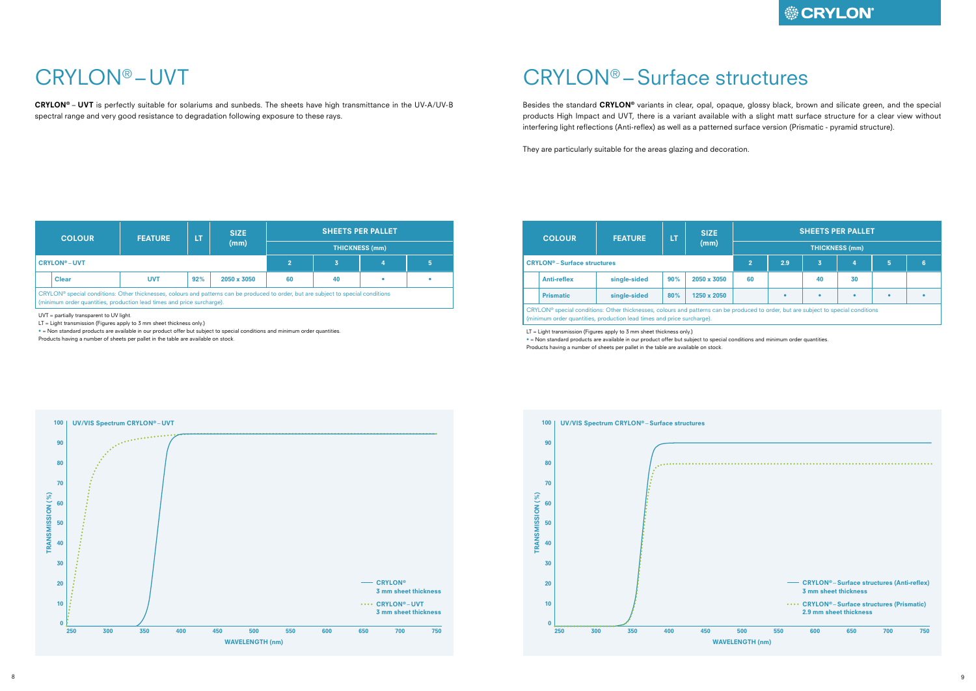## CRYLON® –Surface structures

Besides the standard CRYLON<sup>®</sup> variants in clear, opal, opaque, glossy black, brown and silicate green, and the special products High Impact and UVT, there is a variant available with a slight matt surface structure for a clear view without interfering light reflections (Anti-reflex) as well as a patterned surface version (Prismatic - pyramid structure).

They are particularly suitable for the areas glazing and decoration.

|                       | <b>SHEETS PER PALLET</b>                              |    |    |   |   |  |  |  |  |  |  |  |
|-----------------------|-------------------------------------------------------|----|----|---|---|--|--|--|--|--|--|--|
| <b>THICKNESS (mm)</b> |                                                       |    |    |   |   |  |  |  |  |  |  |  |
|                       | 2.9                                                   | 3  | 4  | 5 | 6 |  |  |  |  |  |  |  |
| 60                    |                                                       | 40 | 30 |   |   |  |  |  |  |  |  |  |
|                       |                                                       |    |    |   |   |  |  |  |  |  |  |  |
|                       | duced to order, but are subject to special conditions |    |    |   |   |  |  |  |  |  |  |  |



LT = Light transmission (Figures apply to 3 mm sheet thickness only.)

• = Non standard products are available in our product offer but subject to special conditions and minimum order quantities. Products having a number of sheets per pallet in the table are available on stock.

# CRYLON® – UVT

CRYLON® – UVT is perfectly suitable for solariums and sunbeds. The sheets have high transmittance in the UV-A/UV-B spectral range and very good resistance to degradation following exposure to these rays.

| <b>COLOUR</b>                                                                                                                                                                                                 | <b>FEATURE</b> | LΤ  | <b>SIZE</b> | <b>SHEETS PER PALLET</b> |    |   |  |  |  |  |  |
|---------------------------------------------------------------------------------------------------------------------------------------------------------------------------------------------------------------|----------------|-----|-------------|--------------------------|----|---|--|--|--|--|--|
|                                                                                                                                                                                                               |                |     | (mm)        | <b>THICKNESS (mm)</b>    |    |   |  |  |  |  |  |
| <b>CRYLON®-UVT</b>                                                                                                                                                                                            |                |     | 3           | 4                        | 5  |   |  |  |  |  |  |
| <b>Clear</b>                                                                                                                                                                                                  | <b>UVT</b>     | 92% | 2050 x 3050 | 60                       | 40 | ۰ |  |  |  |  |  |
| CRYLON® special conditions: Other thicknesses, colours and patterns can be produced to order, but are subject to special conditions<br>(minimum order quantities, production lead times and price surcharge). |                |     |             |                          |    |   |  |  |  |  |  |

UVT = partially transparent to UV light.

LT = Light transmission (Figures apply to 3 mm sheet thickness only.)

• = Non standard products are available in our product offer but subject to special conditions and minimum order quantities.

Products having a number of sheets per pallet in the table are available on stock.



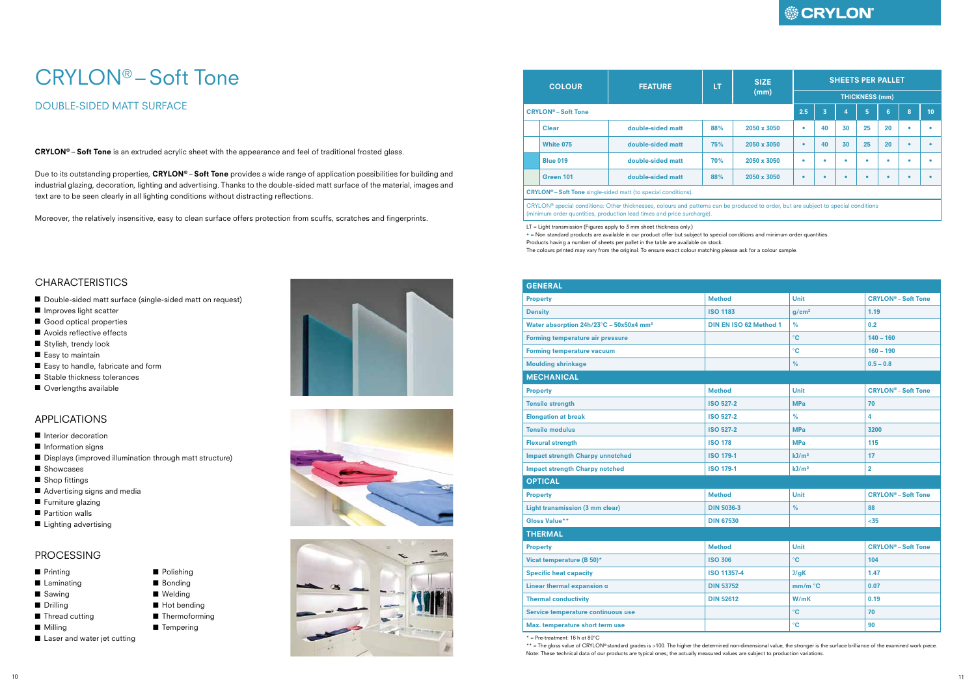#### APPLICATIONS

- Interior decoration
- Information signs
- Displays (improved illumination through matt structure)

■ Polishing ■ Bonding ■ Welding ■ Hot bending ■ Thermoforming ■ Tempering

- Showcases
- Shop fittings
- Advertising signs and media
- Furniture glazing
- Partition walls
- Lighting advertising

#### PROCESSING

- Printing
- Laminating
- Sawing
- Drilling
- Thread cutting
- Milling
- Laser and water jet cutting





Due to its outstanding properties, CRYLON®-Soft Tone provides a wide range of application possibilities for building and industrial glazing, decoration, lighting and advertising. Thanks to the double-sided matt surface of the material, images and text are to be seen clearly in all lighting conditions without distracting reflections.

# CRYLON<sup>®</sup> – Soft Tone

### DOUBLE-SIDED MATT SURFACE

CRYLON® – Soft Tone is an extruded acrylic sheet with the appearance and feel of traditional frosted glass.

Moreover, the relatively insensitive, easy to clean surface offers protection from scuffs, scratches and fingerprints.

#### **CHARACTERISTICS**

- Double-sided matt surface (single-sided matt on request)
- Improves light scatter
- Good optical properties
- Avoids reflective effects
- Stylish, trendy look
- Easy to maintain
- Easy to handle, fabricate and form
- Stable thickness tolerances
- Overlengths available

| <b>COLOUR</b>                         | <b>FEATURE</b>                                                                                                                                                                                                | LT  | <b>SIZE</b> |     | <b>SHEETS PER PALLET</b> |    |                       |    |   |    |  |  |
|---------------------------------------|---------------------------------------------------------------------------------------------------------------------------------------------------------------------------------------------------------------|-----|-------------|-----|--------------------------|----|-----------------------|----|---|----|--|--|
|                                       |                                                                                                                                                                                                               |     | (mm)        |     |                          |    | <b>THICKNESS (mm)</b> |    |   |    |  |  |
| <b>CRYLON<sup>®</sup></b> – Soft Tone |                                                                                                                                                                                                               |     |             | 2.5 | 3                        | 4  | 5                     | 6  | 8 | 10 |  |  |
| <b>Clear</b>                          | double-sided matt                                                                                                                                                                                             | 88% | 2050 x 3050 | ۰   | 40                       | 30 | 25                    | 20 |   |    |  |  |
| <b>White 075</b>                      | double-sided matt                                                                                                                                                                                             | 75% | 2050 x 3050 | ٠   | 40                       | 30 | 25                    | 20 |   |    |  |  |
| <b>Blue 019</b>                       | double-sided matt                                                                                                                                                                                             | 70% | 2050 x 3050 | ٠   | ٠                        | ٠  | ٠                     | ٠  |   |    |  |  |
| Green 101                             | double-sided matt                                                                                                                                                                                             | 88% | 2050 x 3050 | ٠   |                          |    |                       |    |   |    |  |  |
|                                       | <b>CRYLON<sup>®</sup> – Soft Tone</b> single-sided matt (to special conditions).                                                                                                                              |     |             |     |                          |    |                       |    |   |    |  |  |
|                                       | CRYLON® special conditions: Other thicknesses, colours and patterns can be produced to order, but are subject to special conditions<br>(minimum order quantities, production lead times and price surcharge). |     |             |     |                          |    |                       |    |   |    |  |  |

\*\* = The gloss value of CRYLON® standard grades is >100. The higher the determined non-dimensional value, the stronger is the surface brilliance of the examined work piece. Note: These technical data of our products are typical ones; the actually measured values are subject to production variations.

### **● CRYLON**

(minimum order quantities, production lead times and price surcharge).

LT = Light transmission (Figures apply to 3 mm sheet thickness only.)

• = Non standard products are available in our product offer but subject to special conditions and minimum order quantities. Products having a number of sheets per pallet in the table are available on stock. The colours printed may vary from the original. To ensure exact colour matching please ask for a colour sample.

| <b>GENERAL</b>                                      |                               |                   |                                       |
|-----------------------------------------------------|-------------------------------|-------------------|---------------------------------------|
| <b>Property</b>                                     | <b>Method</b>                 | <b>Unit</b>       | <b>CRYLON<sup>®</sup></b> – Soft Tone |
| <b>Density</b>                                      | <b>ISO 1183</b>               | q/cm <sup>3</sup> | 1.19                                  |
| Water absorption 24h/23°C - 50x50x4 mm <sup>3</sup> | <b>DIN EN ISO 62 Method 1</b> | %                 | 0.2                                   |
| <b>Forming temperature air pressure</b>             |                               | $^{\circ}$ C      | $140 - 160$                           |
| <b>Forming temperature vacuum</b>                   |                               | $\rm ^{\circ}C$   | $160 - 190$                           |
| <b>Moulding shrinkage</b>                           |                               | %                 | $0.5 - 0.8$                           |
| <b>MECHANICAL</b>                                   |                               |                   |                                       |
| <b>Property</b>                                     | <b>Method</b>                 | Unit              | <b>CRYLON<sup>®</sup>-Soft Tone</b>   |
| <b>Tensile strength</b>                             | <b>ISO 527-2</b>              | <b>MPa</b>        | 70                                    |
| <b>Elongation at break</b>                          | <b>ISO 527-2</b>              | %                 | 4                                     |
| <b>Tensile modulus</b>                              | <b>ISO 527-2</b>              | <b>MPa</b>        | 3200                                  |
| <b>Flexural strength</b>                            | <b>ISO 178</b>                | <b>MPa</b>        | 115                                   |
| <b>Impact strength Charpy unnotched</b>             | <b>ISO 179-1</b>              | kJ/m <sup>2</sup> | 17                                    |
| <b>Impact strength Charpy notched</b>               | <b>ISO 179-1</b>              | kJ/m <sup>2</sup> | $\overline{\mathbf{2}}$               |
| <b>OPTICAL</b>                                      |                               |                   |                                       |
| <b>Property</b>                                     | <b>Method</b>                 | Unit              | <b>CRYLON<sup>®</sup>-Soft Tone</b>   |
| Light transmission (3 mm clear)                     | <b>DIN 5036-3</b>             | %                 | 88                                    |
| Gloss Value**                                       | <b>DIN 67530</b>              |                   | $35$                                  |
| <b>THERMAL</b>                                      |                               |                   |                                       |
| <b>Property</b>                                     | <b>Method</b>                 | Unit              | <b>CRYLON<sup>®</sup> - Soft Tone</b> |
| Vicat temperature (B 50)*                           | <b>ISO 306</b>                | $^{\circ}$ C      | 104                                   |
| <b>Specific heat capacity</b>                       | <b>ISO 11357-4</b>            | J/qK              | 1.47                                  |
| Linear thermal expansion $\alpha$                   | <b>DIN 53752</b>              | mm/m °C           | 0.07                                  |
| <b>Thermal conductivity</b>                         | <b>DIN 52612</b>              | W/mK              | 0.19                                  |
| Service temperature continuous use                  |                               | $^{\circ}$ C      | 70                                    |
| Max. temperature short term use                     |                               | $\rm ^{\circ}C$   | 90                                    |

 $*$  = Pre-treatment: 16 h at 80 $^{\circ}$ C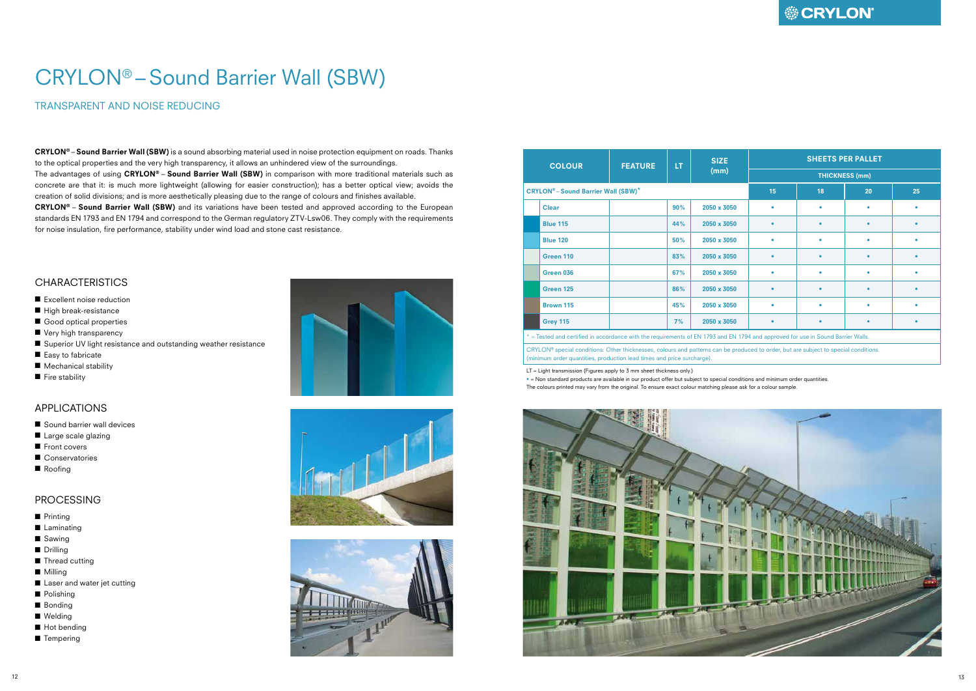TRANSPARENT AND NOISE REDUCING

CRYLON® – Sound Barrier Wall (SBW) is a sound absorbing material used in noise protection equipment on roads. Thanks to the optical properties and the very high transparency, it allows an unhindered view of the surroundings. The advantages of using CRYLON® - Sound Barrier Wall (SBW) in comparison with more traditional materials such as

# CRYLON® –Sound Barrier Wall (SBW)

concrete are that it: is much more lightweight (allowing for easier construction); has a better optical view; avoids the creation of solid divisions; and is more aesthetically pleasing due to the range of colours and finishes available.

CRYLON® – Sound Barrier Wall (SBW) and its variations have been tested and approved according to the European standards EN 1793 and EN 1794 and correspond to the German regulatory ZTV-Lsw06. They comply with the requirements for noise insulation, fire performance, stability under wind load and stone cast resistance.

#### **CHARACTERISTICS**

- Excellent noise reduction
- High break-resistance
- Good optical properties
- Very high transparency
- Superior UV light resistance and outstanding weather resistance
- Easy to fabricate
- Mechanical stability
- Fire stability

### APPLICATIONS

- Sound barrier wall devices
- Large scale glazing
- Front covers
- Conservatories
- Roofing

#### PROCESSING

- Printing
- Laminating
- Sawing
- Drilling
- Thread cutting
- Milling
- Laser and water jet cutting
- Polishing
- Bonding
- Welding
- Hot bending
- Tempering







| <b>COLOUR</b> |                                                                                                                                                                                                              | <b>FEATURE</b> | LT. | <b>SIZE</b> | <b>SHEETS PER PALLET</b> |                       |           |    |  |  |  |  |
|---------------|--------------------------------------------------------------------------------------------------------------------------------------------------------------------------------------------------------------|----------------|-----|-------------|--------------------------|-----------------------|-----------|----|--|--|--|--|
|               |                                                                                                                                                                                                              |                |     | (mm)        |                          | <b>THICKNESS (mm)</b> |           |    |  |  |  |  |
|               | <b>CRYLON<sup>®</sup>-Sound Barrier Wall (SBW)*</b>                                                                                                                                                          |                |     |             | 15                       | 18                    | 20        | 25 |  |  |  |  |
|               | <b>Clear</b>                                                                                                                                                                                                 |                | 90% | 2050 x 3050 | ۰                        |                       |           |    |  |  |  |  |
|               | <b>Blue 115</b>                                                                                                                                                                                              |                | 44% | 2050 x 3050 | $\bullet$                | ٠                     | $\bullet$ |    |  |  |  |  |
|               | <b>Blue 120</b>                                                                                                                                                                                              |                | 50% | 2050 x 3050 | ٠                        | ٠                     |           |    |  |  |  |  |
|               | Green 110                                                                                                                                                                                                    |                | 83% | 2050 x 3050 | $\bullet$                | ۰                     |           |    |  |  |  |  |
|               | Green 036                                                                                                                                                                                                    |                | 67% | 2050 x 3050 | ٠                        |                       |           |    |  |  |  |  |
|               | Green 125                                                                                                                                                                                                    |                | 86% | 2050 x 3050 | $\bullet$                |                       |           |    |  |  |  |  |
|               | Brown 115                                                                                                                                                                                                    |                | 45% | 2050 x 3050 | ۰                        |                       |           |    |  |  |  |  |
|               | <b>Grey 115</b>                                                                                                                                                                                              |                | 7%  | 2050 x 3050 | $\bullet$                |                       |           | ٠  |  |  |  |  |
|               | * = Tested and certified in accordance with the requirements of EN 1793 and EN 1794 and approved for use in Sound Barrier Walls.                                                                             |                |     |             |                          |                       |           |    |  |  |  |  |
|               | CRYLON® special conditions: Other thicknesses, colours and patterns can be produced to order, but are subject to special conditions<br>(minimum order quantities, production lead times and price surcharge) |                |     |             |                          |                       |           |    |  |  |  |  |

(minimum order quantities, production lead times and price surcharge).

LT = Light transmission (Figures apply to 3 mm sheet thickness only.)

• = Non standard products are available in our product offer but subject to special conditions and minimum order quantities. The colours printed may vary from the original. To ensure exact colour matching please ask for a colour sample.



## **● CRYLON**